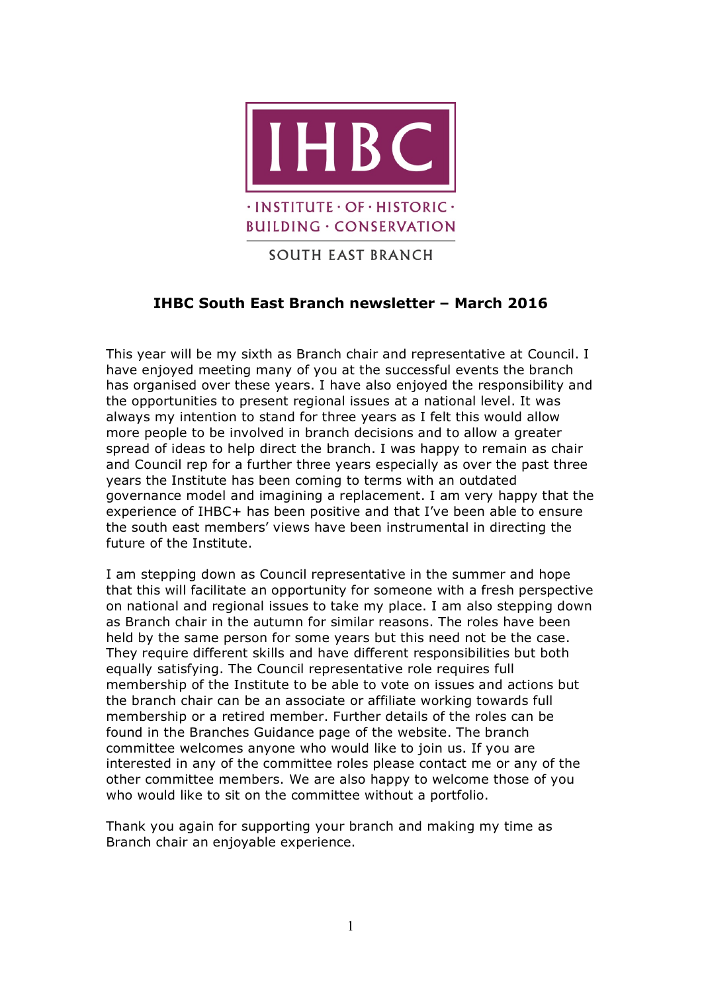

# **SOUTH EAST BRANCH**

# **IHBC South East Branch newsletter – March 2016**

This year will be my sixth as Branch chair and representative at Council. I have enjoyed meeting many of you at the successful events the branch has organised over these years. I have also enjoyed the responsibility and the opportunities to present regional issues at a national level. It was always my intention to stand for three years as I felt this would allow more people to be involved in branch decisions and to allow a greater spread of ideas to help direct the branch. I was happy to remain as chair and Council rep for a further three years especially as over the past three years the Institute has been coming to terms with an outdated governance model and imagining a replacement. I am very happy that the experience of IHBC+ has been positive and that I've been able to ensure the south east members' views have been instrumental in directing the future of the Institute.

I am stepping down as Council representative in the summer and hope that this will facilitate an opportunity for someone with a fresh perspective on national and regional issues to take my place. I am also stepping down as Branch chair in the autumn for similar reasons. The roles have been held by the same person for some years but this need not be the case. They require different skills and have different responsibilities but both equally satisfying. The Council representative role requires full membership of the Institute to be able to vote on issues and actions but the branch chair can be an associate or affiliate working towards full membership or a retired member. Further details of the roles can be found in the Branches Guidance page of the website. The branch committee welcomes anyone who would like to join us. If you are interested in any of the committee roles please contact me or any of the other committee members. We are also happy to welcome those of you who would like to sit on the committee without a portfolio.

Thank you again for supporting your branch and making my time as Branch chair an enjoyable experience.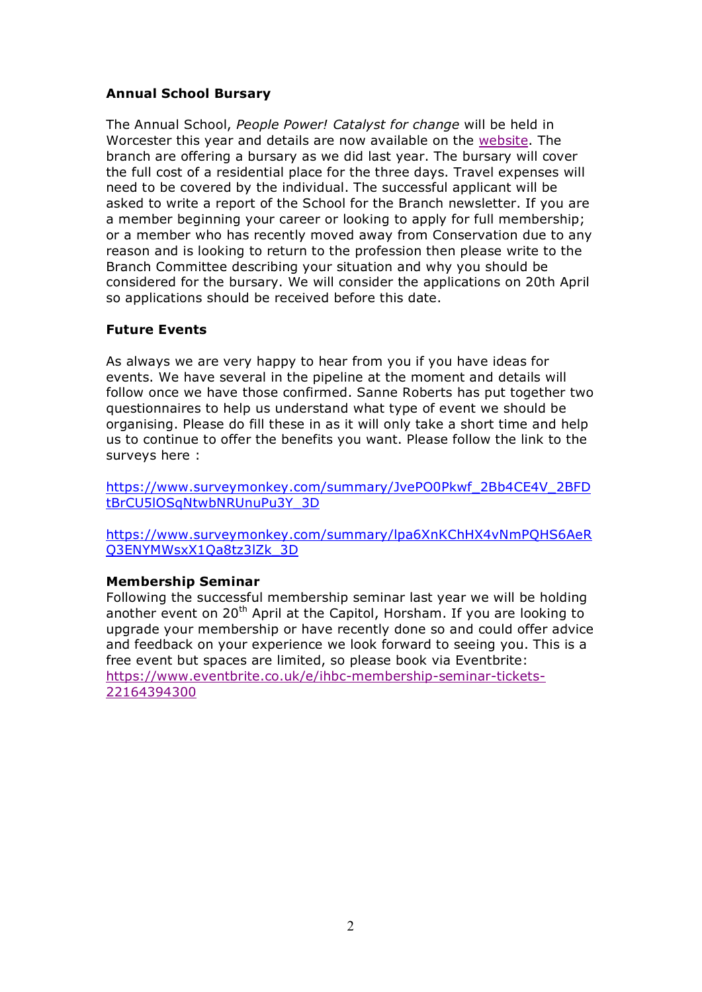### **Annual School Bursary**

The Annual School, *People Power! Catalyst for change* will be held in Worcester this year and details are now available on the website. The branch are offering a bursary as we did last year. The bursary will cover the full cost of a residential place for the three days. Travel expenses will need to be covered by the individual. The successful applicant will be asked to write a report of the School for the Branch newsletter. If you are a member beginning your career or looking to apply for full membership; or a member who has recently moved away from Conservation due to any reason and is looking to return to the profession then please write to the Branch Committee describing your situation and why you should be considered for the bursary. We will consider the applications on 20th April so applications should be received before this date.

### **Future Events**

As always we are very happy to hear from you if you have ideas for events. We have several in the pipeline at the moment and details will follow once we have those confirmed. Sanne Roberts has put together two questionnaires to help us understand what type of event we should be organising. Please do fill these in as it will only take a short time and help us to continue to offer the benefits you want. Please follow the link to the surveys here :

https://www.surveymonkey.com/summary/JvePO0Pkwf\_2Bb4CE4V\_2BFD tBrCU5lOSqNtwbNRUnuPu3Y\_3D

https://www.surveymonkey.com/summary/lpa6XnKChHX4vNmPQHS6AeR Q3ENYMWsxX1Qa8tz3lZk\_3D

### **Membership Seminar**

Following the successful membership seminar last year we will be holding another event on 20<sup>th</sup> April at the Capitol, Horsham. If you are looking to upgrade your membership or have recently done so and could offer advice and feedback on your experience we look forward to seeing you. This is a free event but spaces are limited, so please book via Eventbrite: https://www.eventbrite.co.uk/e/ihbc-membership-seminar-tickets-22164394300